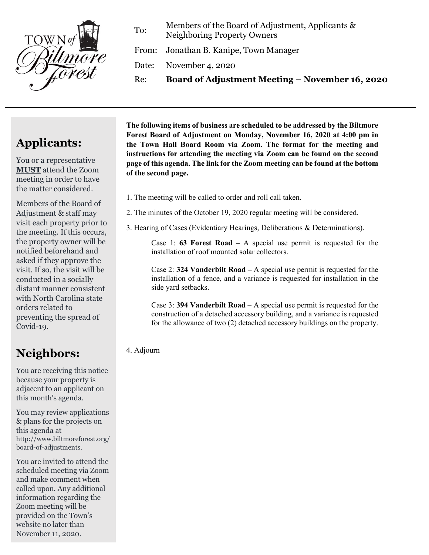

To: Members of the Board of Adjustment, Applicants & Neighboring Property Owners

From: Jonathan B. Kanipe, Town Manager

Date: November 4, 2020

Re: **Board of Adjustment Meeting – November 16, 2020**

# **Applicants:**

You or a representative **MUST** attend the Zoom meeting in order to have the matter considered.

Members of the Board of Adjustment & staff may visit each property prior to the meeting. If this occurs, the property owner will be notified beforehand and asked if they approve the visit. If so, the visit will be conducted in a socially distant manner consistent with North Carolina state orders related to preventing the spread of Covid-19.

## **Neighbors:**

You are receiving this notice because your property is adjacent to an applicant on this month's agenda.

You may review applications & plans for the projects on this agenda at http://www.biltmoreforest.org/ board-of-adjustments.

You are invited to attend the scheduled meeting via Zoom and make comment when called upon. Any additional information regarding the Zoom meeting will be provided on the Town's website no later than November 11, 2020.

**The following items of business are scheduled to be addressed by the Biltmore Forest Board of Adjustment on Monday, November 16, 2020 at 4:00 pm in the Town Hall Board Room via Zoom. The format for the meeting and instructions for attending the meeting via Zoom can be found on the second page of this agenda. The link for the Zoom meeting can be found at the bottom of the second page.**

- 1. The meeting will be called to order and roll call taken.
- 2. The minutes of the October 19, 2020 regular meeting will be considered.
- 3. Hearing of Cases (Evidentiary Hearings, Deliberations & Determinations).

Case 1: **63 Forest Road –** A special use permit is requested for the installation of roof mounted solar collectors.

Case 2: **324 Vanderbilt Road –** A special use permit is requested for the installation of a fence, and a variance is requested for installation in the side yard setbacks.

Case 3: **394 Vanderbilt Road –** A special use permit is requested for the construction of a detached accessory building, and a variance is requested for the allowance of two (2) detached accessory buildings on the property.

### 4. Adjourn